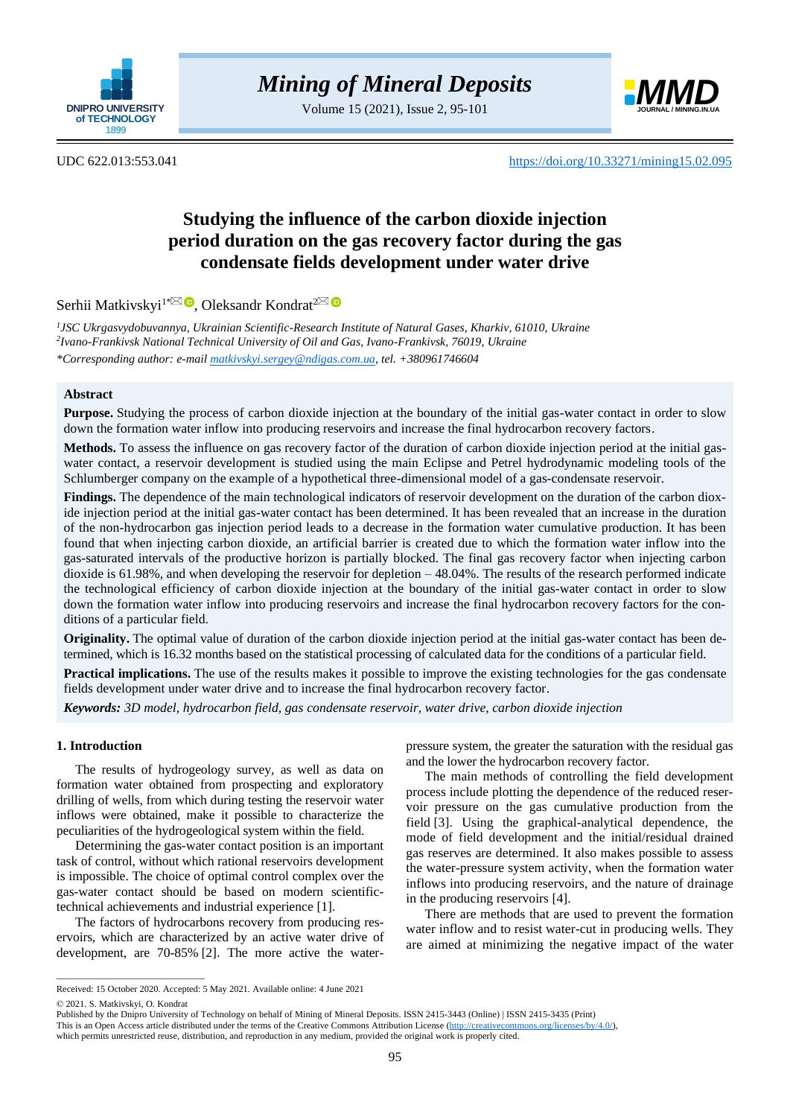

Volume 15 (2021), Issue 2, 95-101



UDC 622.013:553.041 <https://doi.org/10.33271/mining15.02.095>

# **Studying the influence of the carbon dioxide injection period duration on the gas recovery factor during the gas condensate fields development under water drive**

Serhii Matkivskyi<sup>1[\\*](mailto:matkivskyi.sergey@ndigas.com.ua)⊠ ®</sup>[,](https://orcid.org/0000-0002-4139-1381) Oleksandr Kondrat<sup>[2](mailto:kondrat@nung.edu.ua)</sup>

*1 JSC Ukrgasvydobuvannya, Ukrainian Scientific-Research Institute of Natural Gases, Kharkiv, 61010, Ukraine 2 Ivano-Frankivsk National Technical University of Oil and Gas, Ivano-Frankivsk, 76019, Ukraine \*Corresponding author: e-mail [matkivskyi.sergey@ndigas.com.ua,](mailto:matkivskyi.sergey@ndigas.com.ua) tel. +380961746604*

# **Abstract**

**Purpose.** Studying the process of carbon dioxide injection at the boundary of the initial gas-water contact in order to slow down the formation water inflow into producing reservoirs and increase the final hydrocarbon recovery factors.

**Methods.** To assess the influence on gas recovery factor of the duration of carbon dioxide injection period at the initial gaswater contact, a reservoir development is studied using the main Eclipse and Petrel hydrodynamic modeling tools of the Schlumberger company on the example of a hypothetical three-dimensional model of a gas-condensate reservoir.

**Findings.** The dependence of the main technological indicators of reservoir development on the duration of the carbon dioxide injection period at the initial gas-water contact has been determined. It has been revealed that an increase in the duration of the non-hydrocarbon gas injection period leads to a decrease in the formation water cumulative production. It has been found that when injecting carbon dioxide, an artificial barrier is created due to which the formation water inflow into the gas-saturated intervals of the productive horizon is partially blocked. The final gas recovery factor when injecting carbon dioxide is  $61.98\%$ , and when developing the reservoir for depletion  $-48.04\%$ . The results of the research performed indicate the technological efficiency of carbon dioxide injection at the boundary of the initial gas-water contact in order to slow down the formation water inflow into producing reservoirs and increase the final hydrocarbon recovery factors for the conditions of a particular field.

**Originality.** The optimal value of duration of the carbon dioxide injection period at the initial gas-water contact has been determined, which is 16.32 months based on the statistical processing of calculated data for the conditions of a particular field.

**Practical implications.** The use of the results makes it possible to improve the existing technologies for the gas condensate fields development under water drive and to increase the final hydrocarbon recovery factor.

*Keywords: 3D model, hydrocarbon field, gas condensate reservoir, water drive, carbon dioxide injection*

# **1. Introduction**

The results of hydrogeology survey, as well as data on formation water obtained from prospecting and exploratory drilling of wells, from which during testing the reservoir water inflows were obtained, make it possible to characterize the peculiarities of the hydrogeological system within the field.

Determining the gas-water contact position is an important task of control, without which rational reservoirs development is impossible. The choice of optimal control complex over the gas-water contact should be based on modern scientifictechnical achievements and industrial experience [\[1\].](#page-4-0)

The factors of hydrocarbons recovery from producing reservoirs, which are characterized by an active water drive of development, are 70-85% [\[2\].](#page-4-1) The more active the waterpressure system, the greater the saturation with the residual gas and the lower the hydrocarbon recovery factor.

The main methods of controlling the field development process include plotting the dependence of the reduced reservoir pressure on the gas cumulative production from the field [\[3\].](#page-5-0) Using the graphical-analytical dependence, the mode of field development and the initial/residual drained gas reserves are determined. It also makes possible to assess the water-pressure system activity, when the formation water inflows into producing reservoirs, and the nature of drainage in the producing reservoirs [\[4\].](#page-5-1)

There are methods that are used to prevent the formation water inflow and to resist water-cut in producing wells. They are aimed at minimizing the negative impact of the water

 $\overline{\phantom{a}}$  ,  $\overline{\phantom{a}}$  ,  $\overline{\phantom{a}}$  ,  $\overline{\phantom{a}}$  ,  $\overline{\phantom{a}}$  ,  $\overline{\phantom{a}}$  ,  $\overline{\phantom{a}}$  ,  $\overline{\phantom{a}}$  ,  $\overline{\phantom{a}}$  ,  $\overline{\phantom{a}}$  ,  $\overline{\phantom{a}}$  ,  $\overline{\phantom{a}}$  ,  $\overline{\phantom{a}}$  ,  $\overline{\phantom{a}}$  ,  $\overline{\phantom{a}}$  ,  $\overline{\phantom{a}}$ 

Received: 15 October 2020. Accepted: 5 May 2021. Available online: 4 June 2021

<sup>© 2021.</sup> S. Matkivskyi, O. Kondrat

Published by the Dnipro University of Technology on behalf of Mining of Mineral Deposits. ISSN 2415-3443 (Online) | ISSN 2415-3435 (Print)

This is an Open Access article distributed under the terms of the Creative Commons Attribution License [\(http://creativecommons.org/licenses/by/4.0/\)](http://creativecommons.org/licenses/by/4.0/),

which permits unrestricted reuse, distribution, and reproduction in any medium, provided the original work is properly cited.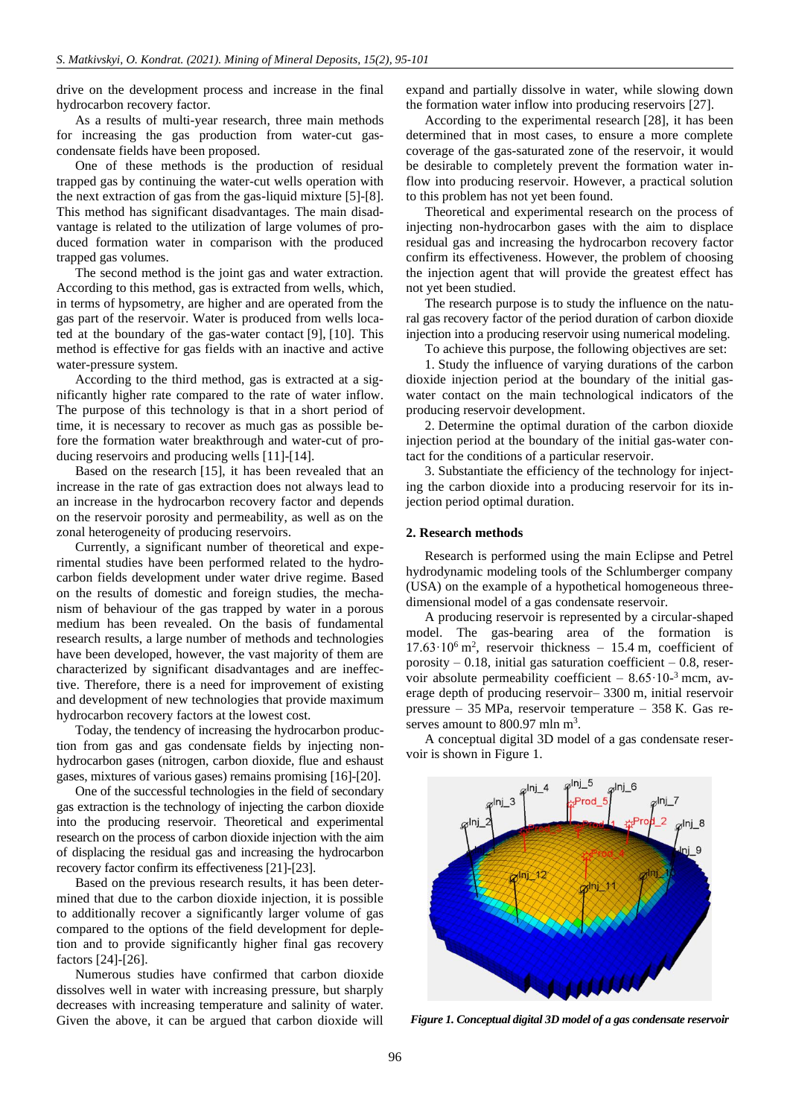drive on the development process and increase in the final hydrocarbon recovery factor.

As a results of multi-year research, three main methods for increasing the gas production from water-cut gascondensate fields have been proposed.

One of these methods is the production of residual trapped gas by continuing the water-cut wells operation with the next extraction of gas from the gas-liquid mixture [\[5\]](#page-5-2)[-\[8\].](#page-5-3) This method has significant disadvantages. The main disadvantage is related to the utilization of large volumes of produced formation water in comparison with the produced trapped gas volumes.

The second method is the joint gas and water extraction. According to this method, gas is extracted from wells, which, in terms of hypsometry, are higher and are operated from the gas part of the reservoir. Water is produced from wells located at the boundary of the gas-water contact [\[9\],](#page-5-4) [\[10\].](#page-5-5) This method is effective for gas fields with an inactive and active water-pressure system.

According to the third method, gas is extracted at a significantly higher rate compared to the rate of water inflow. The purpose of this technology is that in a short period of time, it is necessary to recover as much gas as possible before the formation water breakthrough and water-cut of producing reservoirs and producing wells [\[11\]-](#page-5-6)[\[14\].](#page-5-7)

Based on the research [\[15\],](#page-5-8) it has been revealed that an increase in the rate of gas extraction does not always lead to an increase in the hydrocarbon recovery factor and depends on the reservoir porosity and permeability, as well as on the zonal heterogeneity of producing reservoirs.

Currently, a significant number of theoretical and experimental studies have been performed related to the hydrocarbon fields development under water drive regime. Based on the results of domestic and foreign studies, the mechanism of behaviour of the gas trapped by water in a porous medium has been revealed. On the basis of fundamental research results, a large number of methods and technologies have been developed, however, the vast majority of them are characterized by significant disadvantages and are ineffective. Therefore, there is a need for improvement of existing and development of new technologies that provide maximum hydrocarbon recovery factors at the lowest cost.

Today, the tendency of increasing the hydrocarbon production from gas and gas condensate fields by injecting nonhydrocarbon gases (nitrogen, carbon dioxide, flue and eshaust gases, mixtures of various gases) remains promising [\[16\]](#page-5-9)[-\[20\].](#page-5-10)

One of the successful technologies in the field of secondary gas extraction is the technology of injecting the carbon dioxide into the producing reservoir. Theoretical and experimental research on the process of carbon dioxide injection with the aim of displacing the residual gas and increasing the hydrocarbon recovery factor confirm its effectiveness [\[21\]](#page-5-11)[-\[23\].](#page-5-12)

Based on the previous research results, it has been determined that due to the carbon dioxide injection, it is possible to additionally recover a significantly larger volume of gas compared to the options of the field development for depletion and to provide significantly higher final gas recovery factors [\[24\]](#page-5-13)[-\[26\].](#page-5-14)

Numerous studies have confirmed that carbon dioxide dissolves well in water with increasing pressure, but sharply decreases with increasing temperature and salinity of water. Given the above, it can be argued that carbon dioxide will expand and partially dissolve in water, while slowing down the formation water inflow into producing reservoirs [\[27\].](#page-5-15)

According to the experimental research [\[28\],](#page-5-16) it has been determined that in most cases, to ensure a more complete coverage of the gas-saturated zone of the reservoir, it would be desirable to completely prevent the formation water inflow into producing reservoir. However, a practical solution to this problem has not yet been found.

Theoretical and experimental research on the process of injecting non-hydrocarbon gases with the aim to displace residual gas and increasing the hydrocarbon recovery factor confirm its effectiveness. However, the problem of choosing the injection agent that will provide the greatest effect has not yet been studied.

The research purpose is to study the influence on the natural gas recovery factor of the period duration of carbon dioxide injection into a producing reservoir using numerical modeling.

To achieve this purpose, the following objectives are set:

1. Study the influence of varying durations of the carbon dioxide injection period at the boundary of the initial gaswater contact on the main technological indicators of the producing reservoir development.

2. Determine the optimal duration of the carbon dioxide injection period at the boundary of the initial gas-water contact for the conditions of a particular reservoir.

3. Substantiate the efficiency of the technology for injecting the carbon dioxide into a producing reservoir for its injection period optimal duration.

## **2. Research methods**

Research is performed using the main Eclipse and Petrel hydrodynamic modeling tools of the Schlumberger company (USA) on the example of a hypothetical homogeneous threedimensional model of a gas condensate reservoir.

A producing reservoir is represented by a circular-shaped model. The gas-bearing area of the formation is 17.63·10<sup>6</sup> m<sup>2</sup> , reservoir thickness – 15.4 m, coefficient of porosity  $-0.18$ , initial gas saturation coefficient  $-0.8$ , reservoir absolute permeability coefficient  $- 8.65 \cdot 10^{-3}$  mcm, average depth of producing reservoir– 3300 m, initial reservoir pressure – 35 MPa, reservoir temperature – 358 К. Gas reserves amount to 800.97 mln m<sup>3</sup>.

A conceptual digital 3D model of a gas condensate reservoir is shown in Figure 1.



*Figure 1. Conceptual digital 3D model of a gas condensate reservoir*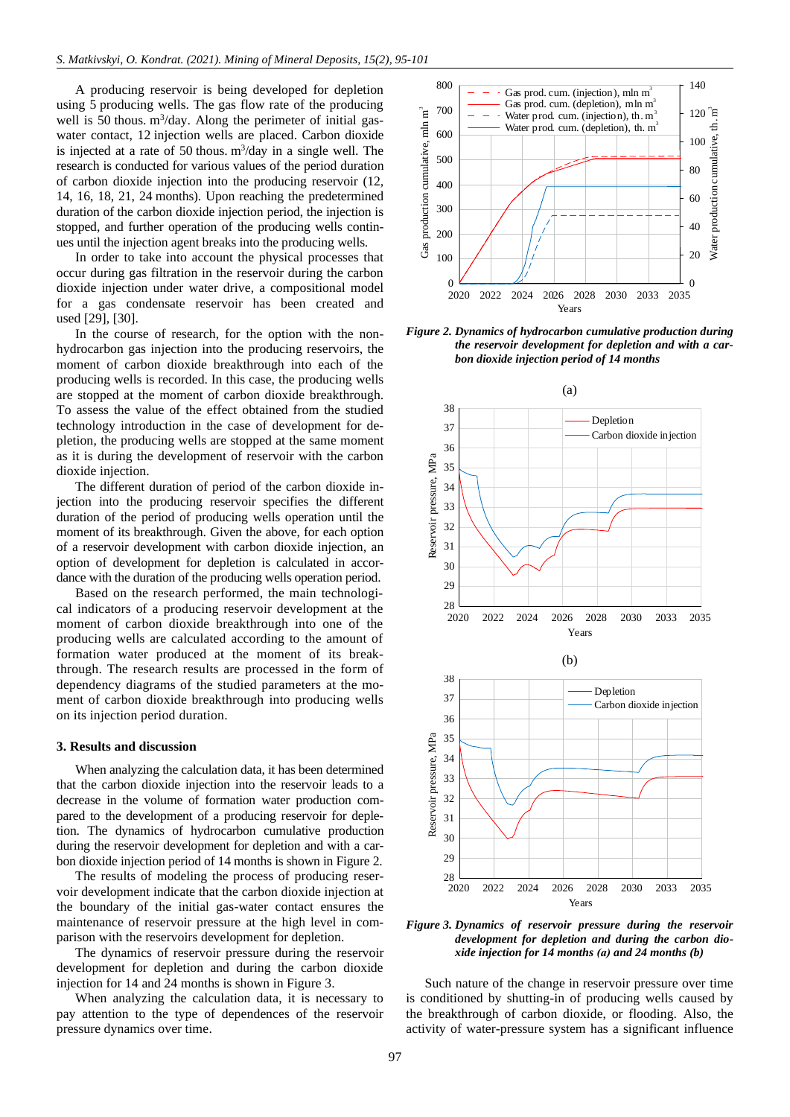A producing reservoir is being developed for depletion using 5 producing wells. The gas flow rate of the producing well is 50 thous.  $m^3$ /day. Along the perimeter of initial gaswater contact, 12 injection wells are placed. Carbon dioxide is injected at a rate of 50 thous.  $m^3$ /day in a single well. The research is conducted for various values of the period duration of carbon dioxide injection into the producing reservoir (12, 14, 16, 18, 21, 24 months). Upon reaching the predetermined duration of the carbon dioxide injection period, the injection is stopped, and further operation of the producing wells continues until the injection agent breaks into the producing wells.

In order to take into account the physical processes that occur during gas filtration in the reservoir during the carbon dioxide injection under water drive, a compositional model for a gas condensate reservoir has been created and used [\[29\],](#page-5-17) [\[30\].](#page-5-18)

In the course of research, for the option with the nonhydrocarbon gas injection into the producing reservoirs, the moment of carbon dioxide breakthrough into each of the producing wells is recorded. In this case, the producing wells are stopped at the moment of carbon dioxide breakthrough. To assess the value of the effect obtained from the studied technology introduction in the case of development for depletion, the producing wells are stopped at the same moment as it is during the development of reservoir with the carbon dioxide injection.

The different duration of period of the carbon dioxide injection into the producing reservoir specifies the different duration of the period of producing wells operation until the moment of its breakthrough. Given the above, for each option of a reservoir development with carbon dioxide injection, an option of development for depletion is calculated in accordance with the duration of the producing wells operation period.

Based on the research performed, the main technological indicators of a producing reservoir development at the moment of carbon dioxide breakthrough into one of the producing wells are calculated according to the amount of formation water produced at the moment of its breakthrough. The research results are processed in the form of dependency diagrams of the studied parameters at the moment of carbon dioxide breakthrough into producing wells on its injection period duration.

## **3. Results and discussion**

When analyzing the calculation data, it has been determined that the carbon dioxide injection into the reservoir leads to a decrease in the volume of formation water production compared to the development of a producing reservoir for depletion. The dynamics of hydrocarbon cumulative production during the reservoir development for depletion and with a carbon dioxide injection period of 14 months is shown in Figure 2.

The results of modeling the process of producing reservoir development indicate that the carbon dioxide injection at the boundary of the initial gas-water contact ensures the maintenance of reservoir pressure at the high level in comparison with the reservoirs development for depletion.

The dynamics of reservoir pressure during the reservoir development for depletion and during the carbon dioxide injection for 14 and 24 months is shown in Figure 3.

When analyzing the calculation data, it is necessary to pay attention to the type of dependences of the reservoir pressure dynamics over time.



*Figure 2. Dynamics of hydrocarbon cumulative production during the reservoir development for depletion and with a carbon dioxide injection period of 14 months*



*Figure 3. Dynamics of reservoir pressure during the reservoir development for depletion and during the carbon dioxide injection for 14 months (а) and 24 months (b)*

Such nature of the change in reservoir pressure over time is conditioned by shutting-in of producing wells caused by the breakthrough of carbon dioxide, or flooding. Also, the activity of water-pressure system has a significant influence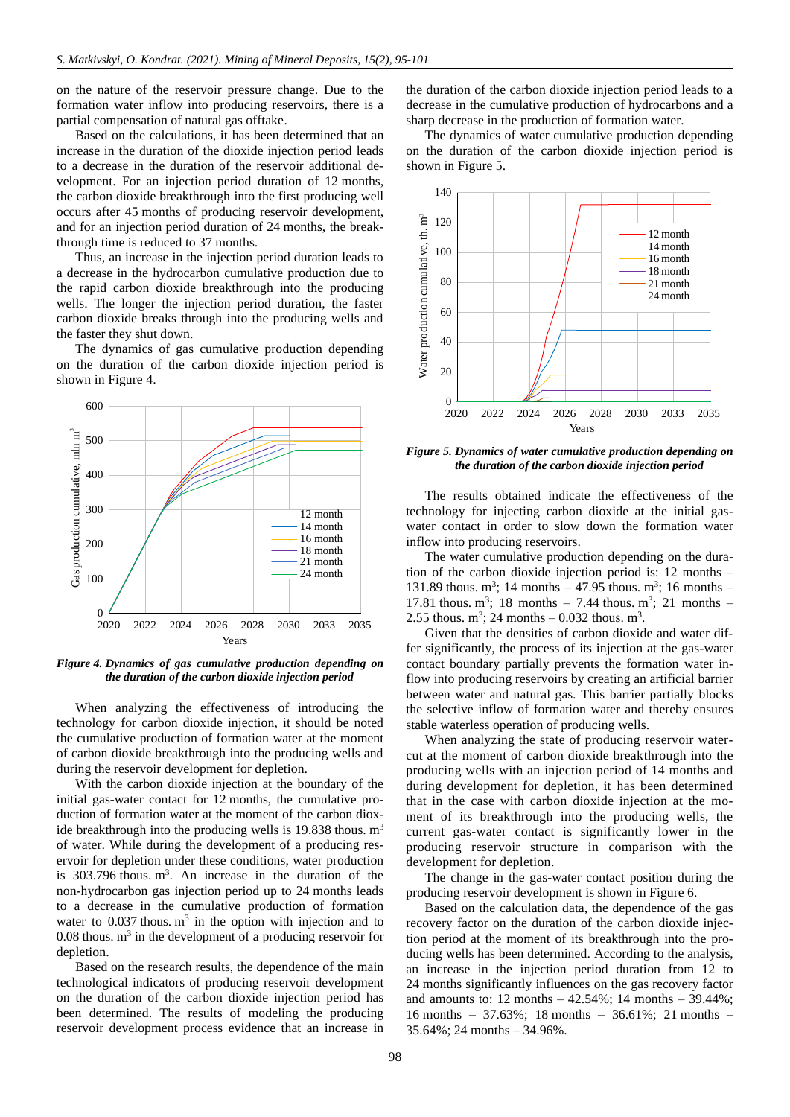on the nature of the reservoir pressure change. Due to the formation water inflow into producing reservoirs, there is a partial compensation of natural gas offtake.

Based on the calculations, it has been determined that an increase in the duration of the dioxide injection period leads to a decrease in the duration of the reservoir additional development. For an injection period duration of 12 months, the carbon dioxide breakthrough into the first producing well occurs after 45 months of producing reservoir development, and for an injection period duration of 24 months, the breakthrough time is reduced to 37 months.

Thus, an increase in the injection period duration leads to a decrease in the hydrocarbon cumulative production due to the rapid carbon dioxide breakthrough into the producing wells. The longer the injection period duration, the faster carbon dioxide breaks through into the producing wells and the faster they shut down.

The dynamics of gas cumulative production depending on the duration of the carbon dioxide injection period is shown in Figure 4.



*Figure 4. Dynamics of gas cumulative production depending on the duration of the carbon dioxide injection period*

When analyzing the effectiveness of introducing the technology for carbon dioxide injection, it should be noted the cumulative production of formation water at the moment of carbon dioxide breakthrough into the producing wells and during the reservoir development for depletion.

With the carbon dioxide injection at the boundary of the initial gas-water contact for 12 months, the cumulative production of formation water at the moment of the carbon dioxide breakthrough into the producing wells is 19.838 thous.  $m<sup>3</sup>$ of water. While during the development of a producing reservoir for depletion under these conditions, water production is  $303.796$  thous. m<sup>3</sup>. An increase in the duration of the non-hydrocarbon gas injection period up to 24 months leads to a decrease in the cumulative production of formation water to  $0.037$  thous.  $m<sup>3</sup>$  in the option with injection and to  $0.08$  thous.  $m<sup>3</sup>$  in the development of a producing reservoir for depletion.

Based on the research results, the dependence of the main technological indicators of producing reservoir development on the duration of the carbon dioxide injection period has been determined. The results of modeling the producing reservoir development process evidence that an increase in the duration of the carbon dioxide injection period leads to a decrease in the cumulative production of hydrocarbons and a sharp decrease in the production of formation water.

The dynamics of water cumulative production depending on the duration of the carbon dioxide injection period is shown in Figure 5.



*Figure 5. Dynamics of water cumulative production depending on the duration of the carbon dioxide injection period*

The results obtained indicate the effectiveness of the technology for injecting carbon dioxide at the initial gaswater contact in order to slow down the formation water inflow into producing reservoirs.

The water cumulative production depending on the duration of the carbon dioxide injection period is: 12 months – 131.89 thous.  $m^3$ ; 14 months  $- 47.95$  thous.  $m^3$ ; 16 months  $-$ 17.81 thous.  $m^3$ ; 18 months - 7.44 thous.  $m^3$ ; 21 months -2.55 thous.  $m^3$ ; 24 months – 0.032 thous.  $m^3$ .

Given that the densities of carbon dioxide and water differ significantly, the process of its injection at the gas-water contact boundary partially prevents the formation water inflow into producing reservoirs by creating an artificial barrier between water and natural gas. This barrier partially blocks the selective inflow of formation water and thereby ensures stable waterless operation of producing wells.

When analyzing the state of producing reservoir watercut at the moment of carbon dioxide breakthrough into the producing wells with an injection period of 14 months and during development for depletion, it has been determined that in the case with carbon dioxide injection at the moment of its breakthrough into the producing wells, the current gas-water contact is significantly lower in the producing reservoir structure in comparison with the development for depletion.

The change in the gas-water contact position during the producing reservoir development is shown in Figure 6.

Based on the calculation data, the dependence of the gas recovery factor on the duration of the carbon dioxide injection period at the moment of its breakthrough into the producing wells has been determined. According to the analysis, an increase in the injection period duration from 12 to 24 months significantly influences on the gas recovery factor and amounts to:  $12$  months  $- 42.54\%$ ;  $14$  months  $- 39.44\%$ ; 16 months – 37.63%; 18 months – 36.61%; 21 months – 35.64%; 24 months – 34.96%.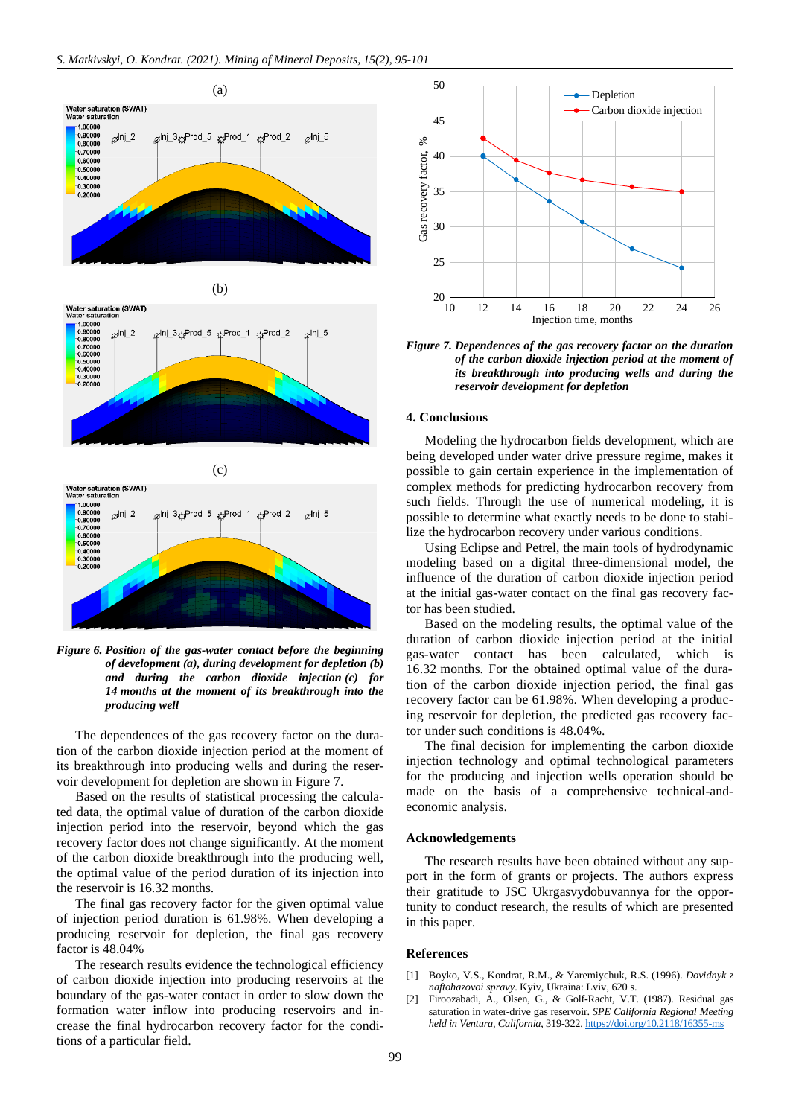

(b)

Water saturation (SWAT)<br>Water saturation





*Figure 6. Position of the gas-water contact before the beginning of development (a), during development for depletion (b) and during the carbon dioxide injection (c) for 14 months at the moment of its breakthrough into the producing well*

The dependences of the gas recovery factor on the duration of the carbon dioxide injection period at the moment of its breakthrough into producing wells and during the reservoir development for depletion are shown in Figure 7.

Based on the results of statistical processing the calculated data, the optimal value of duration of the carbon dioxide injection period into the reservoir, beyond which the gas recovery factor does not change significantly. At the moment of the carbon dioxide breakthrough into the producing well, the optimal value of the period duration of its injection into the reservoir is 16.32 months.

The final gas recovery factor for the given optimal value of injection period duration is 61.98%. When developing a producing reservoir for depletion, the final gas recovery factor is 48.04%

The research results evidence the technological efficiency of carbon dioxide injection into producing reservoirs at the boundary of the gas-water contact in order to slow down the formation water inflow into producing reservoirs and increase the final hydrocarbon recovery factor for the conditions of a particular field.



*Figure 7. Dependences of the gas recovery factor on the duration of the carbon dioxide injection period at the moment of its breakthrough into producing wells and during the reservoir development for depletion*

## **4. Conclusions**

Modeling the hydrocarbon fields development, which are being developed under water drive pressure regime, makes it possible to gain certain experience in the implementation of complex methods for predicting hydrocarbon recovery from such fields. Through the use of numerical modeling, it is possible to determine what exactly needs to be done to stabilize the hydrocarbon recovery under various conditions.

Using Eclipse and Petrel, the main tools of hydrodynamic modeling based on a digital three-dimensional model, the influence of the duration of carbon dioxide injection period at the initial gas-water contact on the final gas recovery factor has been studied.

Based on the modeling results, the optimal value of the duration of carbon dioxide injection period at the initial gas-water contact has been calculated, which is 16.32 months. For the obtained optimal value of the duration of the carbon dioxide injection period, the final gas recovery factor can be 61.98%. When developing a producing reservoir for depletion, the predicted gas recovery factor under such conditions is 48.04%.

The final decision for implementing the carbon dioxide injection technology and optimal technological parameters for the producing and injection wells operation should be made on the basis of a comprehensive technical-andeconomic analysis.

#### **Acknowledgements**

The research results have been obtained without any support in the form of grants or projects. The authors express their gratitude to JSC Ukrgasvydobuvannya for the opportunity to conduct research, the results of which are presented in this paper.

### **References**

- <span id="page-4-0"></span>[1] Boyko, V.S., Kondrat, R.M., & Yaremiychuk, R.S. (1996). *Dovidnyk z naftohazovoi spravy*. Kyiv, Ukraina: Lviv, 620 s.
- <span id="page-4-1"></span>[2] Firoozabadi, A., Olsen, G., & Golf-Racht, V.T. (1987). Residual gas saturation in water-drive gas reservoir. *SPE California Regional Meeting held in Ventura, California*, 319-322[. https://doi.org/10.2118/16355-ms](https://doi.org/10.2118/16355-ms)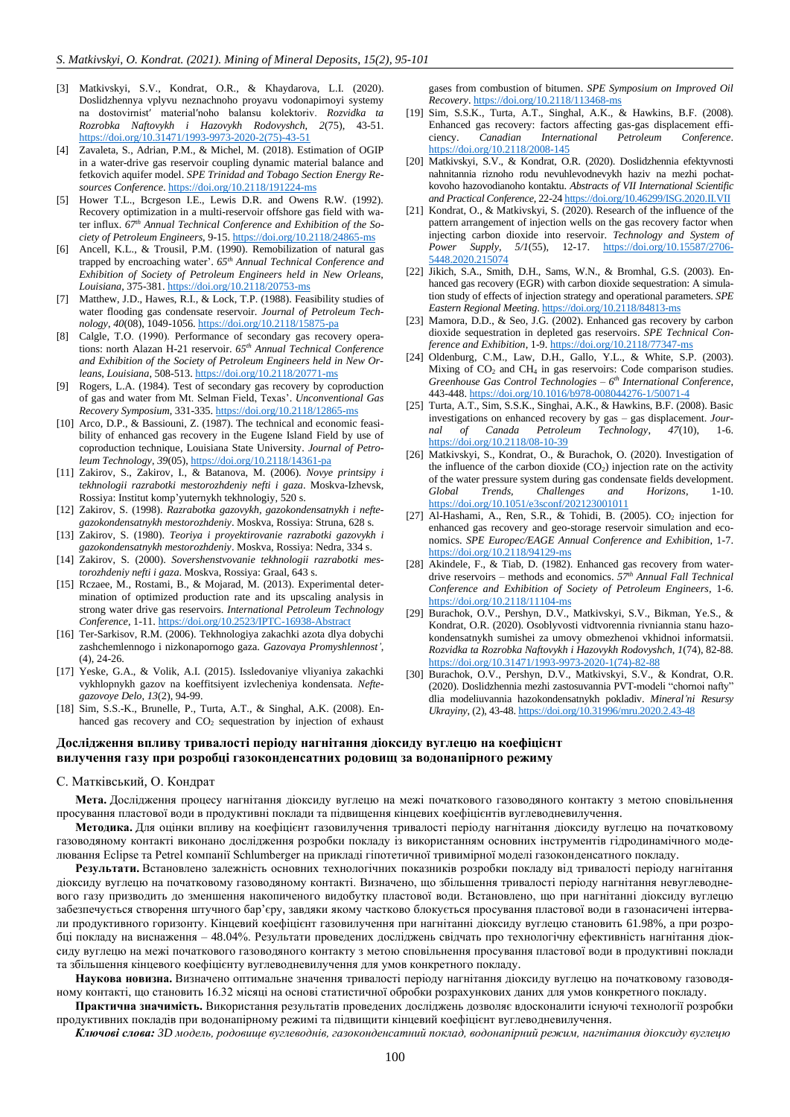- <span id="page-5-0"></span>[3] Matkivskyi, S.V., Kondrat, O.R., & Khaydarova, L.I. (2020). Doslidzhennya vplyvu neznachnoho proyavu vodonapirnoyi systemy na dostovirnistʹ materialʹnoho balansu kolektoriv. *Rozvidka ta Rozrobka Naftovykh i Hazovykh Rodovyshch*, *2*(75), 43-51. [https://doi.org/10.31471/1993-9973-2020-2\(75\)-43-51](https://doi.org/10.31471/1993-9973-2020-2(75)-43-51)
- <span id="page-5-1"></span>[4] Zavaleta, S., Adrian, P.M., & Michel, M. (2018). Estimation of OGIP in a water-drive gas reservoir coupling dynamic material balance and fetkovich aquifer model. *SPE Trinidad and Tobago Section Energy Resources Conference*[. https://doi.org/10.2118/191224-ms](https://doi.org/10.2118/191224-ms)
- <span id="page-5-2"></span>[5] Hower T.L., Bcrgeson I.E., Lewis D.R. and Owens R.W. (1992). Recovery optimization in a multi-reservoir offshore gas field with water influx. *67th Annual Technical Conference and Exhibition of the Society of Petroleum Engineers*, 9-15[. https://doi.org/10.2118/24865-ms](https://doi.org/10.2118/24865-ms)
- [6] Ancell, K.L., & Trousil, P.M. (1990). Remobilization of natural gas trapped by encroaching water'. *65th Annual Technical Conference and Exhibition of Society of Petroleum Engineers held in New Orleans, Louisiana*, 375-381[. https://doi.org/10.2118/20753-ms](https://doi.org/10.2118/20753-ms)
- [7] Matthew, J.D., Hawes, R.I., & Lock, T.P. (1988). Feasibility studies of water flooding gas condensate reservoir. *Journal of Petroleum Technology*, *40*(08), 1049-1056[. https://doi.org/10.2118/15875-pa](https://doi.org/10.2118/15875-pa)
- <span id="page-5-3"></span>[8] Calgle, T.O. (1990). Performance of secondary gas recovery operations: north Alazan H-21 reservoir. *65th Annual Technical Conference and Exhibition of the Society of Petroleum Engineers held in New Orleans, Louisiana*, 508-513[. https://doi.org/10.2118/20771-ms](https://doi.org/10.2118/20771-ms)
- <span id="page-5-4"></span>[9] Rogers, L.A. (1984). Test of secondary gas recovery by coproduction of gas and water from Mt. Selman Field, Texas'. *Unconventional Gas Recovery Symposium*, 331-335[. https://doi.org/10.2118/12865-ms](https://doi.org/10.2118/12865-ms)
- <span id="page-5-5"></span>[10] Arco, D.P., & Bassiouni, Z. (1987). The technical and economic feasibility of enhanced gas recovery in the Eugene Island Field by use of coproduction technique, Louisiana State University. *Journal of Petroleum Technology*, *39*(05),<https://doi.org/10.2118/14361-pa>
- <span id="page-5-6"></span>[11] Zakirov, S., Zakirov, I., & Batanova, M. (2006). *Novye printsipy i tekhnologii razrabotki mestorozhdeniy nefti i gaza*. Moskva-Izhevsk, Rossiya: Institut komp'yuternykh tekhnologiy, 520 s.
- [12] Zakirov, S. (1998). *Razrabotka gazovykh, gazokondensatnykh i neftegazokondensatnykh mestorozhdeniy*. Moskva, Rossiya: Struna, 628 s.
- [13] Zakirov, S. (1980). *Teoriya i proyektirovanie razrabotki gazovykh i gazokondensatnykh mestorozhdeniy*. Moskva, Rossiya: Nedra, 334 s.
- <span id="page-5-7"></span>[14] Zakirov, S. (2000). *Sovershenstvovanie tekhnologii razrabotki mestorozhdeniy nefti i gaza*. Moskva, Rossiya: Graal, 643 s.
- <span id="page-5-8"></span>[15] Rczaee, M., Rostami, B., & Mojarad, M. (2013). Experimental determination of optimized production rate and its upscaling analysis in strong water drive gas reservoirs. *International Petroleum Technology Conference*, 1-11[. https://doi.org/10.2523/IPTC-16938-Abstract](https://doi.org/10.2523/IPTC-16938-Abstract)
- <span id="page-5-9"></span>[16] Ter-Sarkisov, R.M. (2006). Tekhnologiya zakachki azota dlya dobychi zashchemlennogo i nizkonapornogo gaza. *Gazovaya Promyshlennost'*, (4), 24-26.
- [17] Yeske, G.A., & Volik, A.I. (2015). Issledovaniye vliyaniya zakachki vykhlopnykh gazov na koeffitsiyent izvlecheniya kondensata. *Neftegazovoye Delo*, *13*(2), 94-99.
- [18] Sim, S.S.-K., Brunelle, P., Turta, A.T., & Singhal, A.K. (2008). Enhanced gas recovery and CO<sub>2</sub> sequestration by injection of exhaust

## **Дослідження впливу тривалості періоду нагнітання діоксиду вуглецю на коефіцієнт вилучення газу при розробці газоконденсатних родовищ за водонапірного режиму**

#### С. Матківський, О. Кондрат

**Мета.** Дослідження процесу нагнітання діоксиду вуглецю на межі початкового газоводяного контакту з метою сповільнення просування пластової води в продуктивні поклади та підвищення кінцевих коефіцієнтів вуглеводневилучення.

**Методика.** Для оцінки впливу на коефіцієнт газовилучення тривалості періоду нагнітання діоксиду вуглецю на початковому газоводяному контакті виконано дослідження розробки покладу із використанням основних інструментів гідродинамічного моделювання Eclipse та Petrel компанії Schlumberger на прикладі гіпотетичної тривимірної моделі газоконденсатного покладу.

**Результати.** Встановлено залежність основних технологічних показників розробки покладу від тривалості періоду нагнітання діоксиду вуглецю на початковому газоводяному контакті. Визначено, що збільшення тривалості періоду нагнітання невуглеводневого газу призводить до зменшення накопиченого видобутку пластової води. Встановлено, що при нагнітанні діоксиду вуглецю забезпечується створення штучного бар'єру, завдяки якому частково блокується просування пластової води в газонасичені інтервали продуктивного горизонту. Кінцевий коефіцієнт газовилучення при нагнітанні діоксиду вуглецю становить 61.98%, а при розробці покладу на виснаження – 48.04%. Результати проведених досліджень свідчать про технологічну ефективність нагнітання діоксиду вуглецю на межі початкового газоводяного контакту з метою сповільнення просування пластової води в продуктивні поклади та збільшення кінцевого коефіцієнту вуглеводневилучення для умов конкретного покладу.

**Наукова новизна.** Визначено оптимальне значення тривалості періоду нагнітання діоксиду вуглецю на початковому газоводяному контакті, що становить 16.32 місяці на основі статистичної обробки розрахункових даних для умов конкретного покладу.

**Практична значимість.** Використання результатів проведених досліджень дозволяє вдосконалити існуючі технології розробки продуктивних покладів при водонапірному режимі та підвищити кінцевий коефіцієнт вуглеводневилучення.

*Ключові слова: 3D модель, родовище вуглеводнів, газоконденсатний поклад, водонапірний режим, нагнітання діоксиду вуглецю*

gases from combustion of bitumen. *SPE Symposium on Improved Oil Recovery*[. https://doi.org/10.2118/113468-ms](https://doi.org/10.2118/113468-ms)

- [19] Sim, S.S.K., Turta, A.T., Singhal, A.K., & Hawkins, B.F. (2008). Enhanced gas recovery: factors affecting gas-gas displacement efficiency. *Canadian International Petroleum Conference*. <https://doi.org/10.2118/2008-145>
- <span id="page-5-10"></span>[20] Matkivskyi, S.V., & Kondrat, O.R. (2020). Doslidzhennia efektyvnosti nahnitannia riznoho rodu nevuhlevodnevykh haziv na mezhi pochatkovoho hazovodianoho kontaktu. *Abstracts of VII International Scientific and Practical Conference*, 22-24 <https://doi.org/10.46299/ISG.2020.II.VII>
- <span id="page-5-11"></span>[21] Kondrat, O., & Matkivskyi, S. (2020). Research of the influence of the pattern arrangement of injection wells on the gas recovery factor when injecting carbon dioxide into reservoir. *Technology and System of Power Supply*, *5/1*(55), 12-17. [https://doi.org/10.15587/2706-](https://doi.org/10.15587/2706-5448.2020.215074) [5448.2020.215074](https://doi.org/10.15587/2706-5448.2020.215074)
- [22] Jikich, S.A., Smith, D.H., Sams, W.N., & Bromhal, G.S. (2003). Enhanced gas recovery (EGR) with carbon dioxide sequestration: A simulation study of effects of injection strategy and operational parameters. *SPE Eastern Regional Meeting*[. https://doi.org/10.2118/84813-ms](https://doi.org/10.2118/84813-ms)
- <span id="page-5-12"></span>[23] Mamora, D.D., & Seo, J.G. (2002). Enhanced gas recovery by carbon dioxide sequestration in depleted gas reservoirs. *SPE Technical Conference and Exhibition*, 1-9[. https://doi.org/10.2118/77347-ms](https://doi.org/10.2118/77347-ms)
- <span id="page-5-13"></span>[24] Oldenburg, C.M., Law, D.H., Gallo, Y.L., & White, S.P. (2003). Mixing of  $CO<sub>2</sub>$  and  $CH<sub>4</sub>$  in gas reservoirs: Code comparison studies. *Greenhouse Gas Control Technologies – 6 th International Conference*, 443-448. <https://doi.org/10.1016/b978-008044276-1/50071-4>
- [25] Turta, A.T., Sim, S.S.K., Singhai, A.K., & Hawkins, B.F. (2008). Basic investigations on enhanced recovery by gas – gas displacement. *Journal of Canada Petroleum Technology*, *47*(10), 1-6. <https://doi.org/10.2118/08-10-39>
- <span id="page-5-14"></span>[26] Matkivskyi, S., Kondrat, O., & Burachok, O. (2020). Investigation of the influence of the carbon dioxide  $(CO_2)$  injection rate on the activity of the water pressure system during gas condensate fields development. *Global Trends, Challenges and Horizons*, 1-10. <https://doi.org/10.1051/e3sconf/202123001011>
- <span id="page-5-15"></span>[27] Al-Hashami, A., Ren, S.R., & Tohidi, B. (2005).  $CO<sub>2</sub>$  injection for enhanced gas recovery and geo-storage reservoir simulation and economics. *SPE Europec/EAGE Annual Conference and Exhibition*, 1-7. <https://doi.org/10.2118/94129-ms>
- <span id="page-5-16"></span>[28] Akindele, F., & Tiab, D. (1982). Enhanced gas recovery from waterdrive reservoirs – methods and economics. *57th Annual Fall Technical Conference and Exhibition of Society of Petroleum Engineers*, 1-6. <https://doi.org/10.2118/11104-ms>
- <span id="page-5-17"></span>[29] Burachok, O.V., Pershyn, D.V., Matkivskyi, S.V., Bikman, Ye.S., & Kondrat, O.R. (2020). Osoblyvosti vidtvorennia rivniannia stanu hazokondensatnykh sumishei za umovy obmezhenoi vkhidnoi informatsii. *Rozvidka ta Rozrobka Naftovykh i Hazovykh Rodovyshch*, *1*(74), 82-88. [https://doi.org/10.31471/1993-9973-2020-1\(74\)-82-88](https://doi.org/10.31471/1993-9973-2020-1(74)-82-88)
- <span id="page-5-18"></span>[30] Burachok, O.V., Pershyn, D.V., Matkivskyi, S.V., & Kondrat, O.R. (2020). Doslidzhennia mezhi zastosuvannia PVT-modeli "chornoi nafty" dlia modeliuvannia hazokondensatnykh pokladiv. *Mineral'ni Resursy Ukrayiny*, (2), 43-48[. https://doi.org/10.31996/mru.2020.2.43-48](https://doi.org/10.31996/mru.2020.2.43-48)